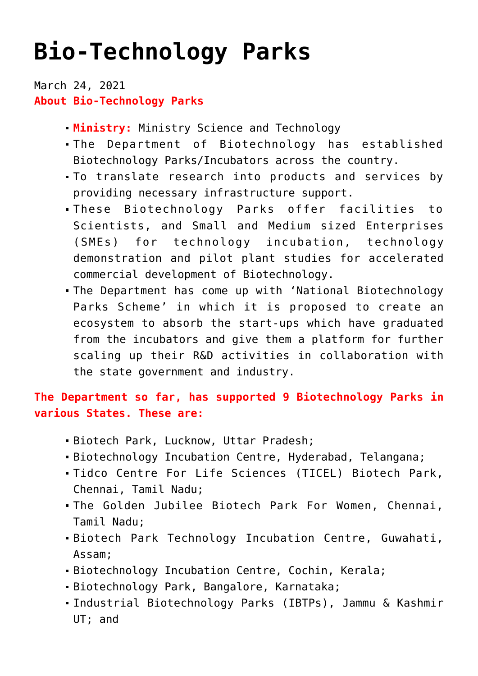# **[Bio-Technology Parks](https://journalsofindia.com/bio-technology-parks/)**

March 24, 2021 **About Bio-Technology Parks**

- **Ministry:** Ministry Science and Technology
- The Department of Biotechnology has established Biotechnology Parks/Incubators across the country.
- To translate research into products and services by providing necessary infrastructure support.
- These Biotechnology Parks offer facilities to Scientists, and Small and Medium sized Enterprises (SMEs) for technology incubation, technology demonstration and pilot plant studies for accelerated commercial development of Biotechnology.
- The Department has come up with 'National Biotechnology Parks Scheme' in which it is proposed to create an ecosystem to absorb the start-ups which have graduated from the incubators and give them a platform for further scaling up their R&D activities in collaboration with the state government and industry.

# **The Department so far, has supported 9 Biotechnology Parks in various States. These are:**

- Biotech Park, Lucknow, Uttar Pradesh;
- Biotechnology Incubation Centre, Hyderabad, Telangana;
- Tidco Centre For Life Sciences (TICEL) Biotech Park, Chennai, Tamil Nadu;
- The Golden Jubilee Biotech Park For Women, Chennai, Tamil Nadu;
- Biotech Park Technology Incubation Centre, Guwahati, Assam;
- Biotechnology Incubation Centre, Cochin, Kerala;
- Biotechnology Park, Bangalore, Karnataka;
- Industrial Biotechnology Parks (IBTPs), Jammu & Kashmir UT; and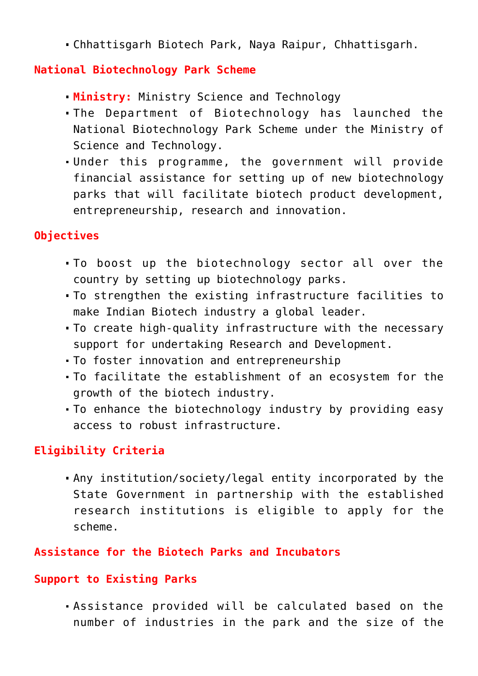Chhattisgarh Biotech Park, Naya Raipur, Chhattisgarh.

#### **National Biotechnology Park Scheme**

- **Ministry:** Ministry Science and Technology
- The Department of Biotechnology has launched the National Biotechnology Park Scheme under the Ministry of Science and Technology.
- Under this programme, the government will provide financial assistance for setting up of new biotechnology parks that will facilitate biotech product development, entrepreneurship, research and innovation.

### **Objectives**

- To boost up the biotechnology sector all over the country by setting up biotechnology parks.
- To strengthen the existing infrastructure facilities to make Indian Biotech industry a global leader.
- To create high-quality infrastructure with the necessary support for undertaking Research and Development.
- To foster innovation and entrepreneurship
- To facilitate the establishment of an ecosystem for the growth of the biotech industry.
- To enhance the biotechnology industry by providing easy access to robust infrastructure.

## **Eligibility Criteria**

Any institution/society/legal entity incorporated by the State Government in partnership with the established research institutions is eligible to apply for the scheme.

#### **Assistance for the Biotech Parks and Incubators**

#### **Support to Existing Parks**

Assistance provided will be calculated based on the number of industries in the park and the size of the